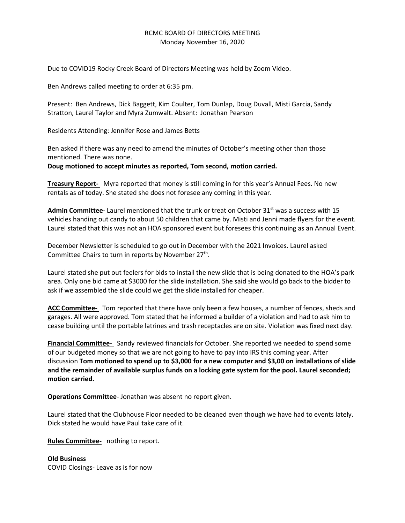## RCMC BOARD OF DIRECTORS MEETING Monday November 16, 2020

Due to COVID19 Rocky Creek Board of Directors Meeting was held by Zoom Video.

Ben Andrews called meeting to order at 6:35 pm.

Present: Ben Andrews, Dick Baggett, Kim Coulter, Tom Dunlap, Doug Duvall, Misti Garcia, Sandy Stratton, Laurel Taylor and Myra Zumwalt. Absent: Jonathan Pearson

Residents Attending: Jennifer Rose and James Betts

Ben asked if there was any need to amend the minutes of October's meeting other than those mentioned. There was none.

**Doug motioned to accept minutes as reported, Tom second, motion carried.**

**Treasury Report-** Myra reported that money is still coming in for this year's Annual Fees. No new rentals as of today. She stated she does not foresee any coming in this year.

Admin Committee- Laurel mentioned that the trunk or treat on October 31<sup>st</sup> was a success with 15 vehicles handing out candy to about 50 children that came by. Misti and Jenni made flyers for the event. Laurel stated that this was not an HOA sponsored event but foresees this continuing as an Annual Event.

December Newsletter is scheduled to go out in December with the 2021 Invoices. Laurel asked Committee Chairs to turn in reports by November 27<sup>th</sup>.

Laurel stated she put out feelers for bids to install the new slide that is being donated to the HOA's park area. Only one bid came at \$3000 for the slide installation. She said she would go back to the bidder to ask if we assembled the slide could we get the slide installed for cheaper.

**ACC Committee-** Tom reported that there have only been a few houses, a number of fences, sheds and garages. All were approved. Tom stated that he informed a builder of a violation and had to ask him to cease building until the portable latrines and trash receptacles are on site. Violation was fixed next day.

**Financial Committee-** Sandy reviewed financials for October. She reported we needed to spend some of our budgeted money so that we are not going to have to pay into IRS this coming year. After discussion **Tom motioned to spend up to \$3,000 for a new computer and \$3,00 on installations of slide and the remainder of available surplus funds on a locking gate system for the pool. Laurel seconded; motion carried.**

**Operations Committee**- Jonathan was absent no report given.

Laurel stated that the Clubhouse Floor needed to be cleaned even though we have had to events lately. Dick stated he would have Paul take care of it.

**Rules Committee-** nothing to report.

**Old Business** COVID Closings- Leave as is for now